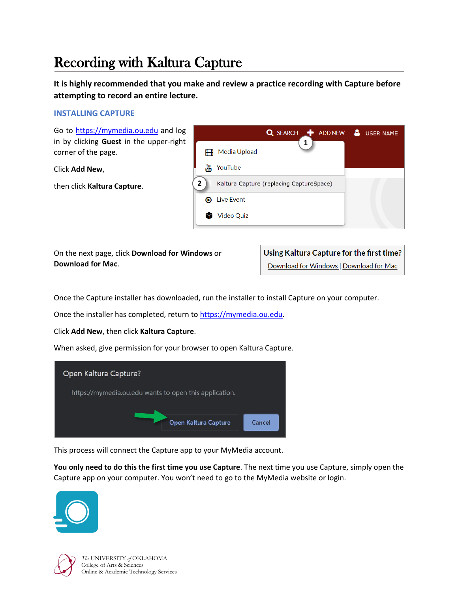# Recording with Kaltura Capture

**It is highly recommended that you make and review a practice recording with Capture before attempting to record an entire lecture.**

# **INSTALLING CAPTURE**

Go to [https://mymedia.ou.edu](https://mymedia.ou.edu/) and log in by clicking **Guest** in the upper-right corner of the page.

Click **Add New**,

then click **Kaltura Capture**.



On the next page, click **Download for Windows** or **Download for Mac**.

Using Kaltura Capture for the first time? Download for Windows | Download for Mac

Once the Capture installer has downloaded, run the installer to install Capture on your computer.

Once the installer has completed, return to [https://mymedia.ou.edu.](https://mymedia.ou.edu/)

Click **Add New**, then click **Kaltura Capture**.

When asked, give permission for your browser to open Kaltura Capture.



This process will connect the Capture app to your MyMedia account.

**You only need to do this the first time you use Capture**. The next time you use Capture, simply open the Capture app on your computer. You won't need to go to the MyMedia website or login.



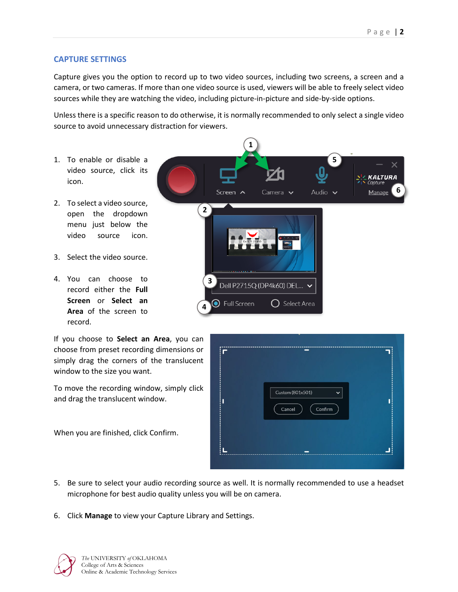## **CAPTURE SETTINGS**

Capture gives you the option to record up to two video sources, including two screens, a screen and a camera, or two cameras. If more than one video source is used, viewers will be able to freely select video sources while they are watching the video, including picture-in-picture and side-by-side options.

Unless there is a specific reason to do otherwise, it is normally recommended to only select a single video source to avoid unnecessary distraction for viewers.

- 1. To enable or disable a video source, click its icon.
- 2. To select a video source, open the dropdown menu just below the video source icon.
- 3. Select the video source.
- 4. You can choose to record either the **Full Screen** or **Select an Area** of the screen to record.

If you choose to **Select an Area**, you can choose from preset recording dimensions or simply drag the corners of the translucent window to the size you want.

To move the recording window, simply click and drag the translucent window.

When you are finished, click Confirm.



| i<br>Ü           |                                                             |  |
|------------------|-------------------------------------------------------------|--|
| İ                | Custom (801x501)<br>$\check{ }$<br>$\sf{Cancel}$<br>Confirm |  |
| ř<br>ļ<br>r<br>ř |                                                             |  |

- 5. Be sure to select your audio recording source as well. It is normally recommended to use a headset microphone for best audio quality unless you will be on camera.
- 6. Click **Manage** to view your Capture Library and Settings.

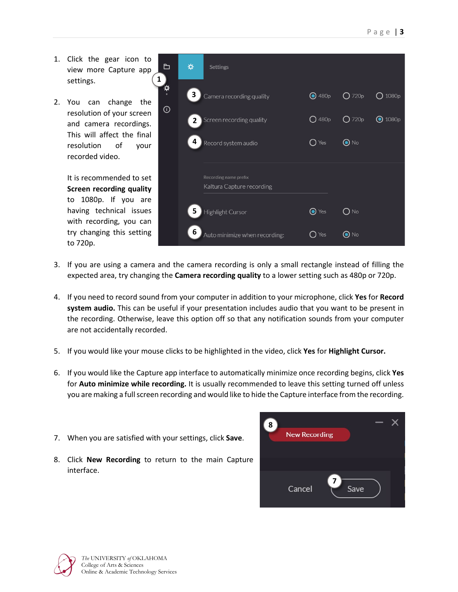1. Click the gear icon to view more Capture app settings.

**1**

2. You can change the resolution of your screen and camera recordings. This will affect the final resolution of your recorded video.

> It is recommended to set **Screen recording quality** to 1080p. If you are having technical issues with recording, you can try changing this setting to 720p.

| ⊟             | ₩              | <b>Settings</b>                                    |                           |                          |                  |
|---------------|----------------|----------------------------------------------------|---------------------------|--------------------------|------------------|
| $\ddot{\phi}$ | 3              | Camera recording quality                           | $\bigodot$ 480p           | $O$ 720p                 | 1080p            |
| $_{\odot}$    | 2 <sup>1</sup> | Screen recording quality                           | $O$ 480p                  | $O$ 720p                 | $\bigodot$ 1080p |
|               | 4              | Record system audio                                | $\bigcap$ Yes             | $\overline{\bigcirc}$ No |                  |
|               |                | Recording name prefix<br>Kaltura Capture recording |                           |                          |                  |
|               | 5              | Highlight Cursor                                   | $\overline{\bigcirc}$ Yes | O No                     |                  |
|               | 6              | Auto minimize when recording:                      | $\bigcap$ Yes             | $\odot$ No               |                  |

- 3. If you are using a camera and the camera recording is only a small rectangle instead of filling the expected area, try changing the **Camera recording quality** to a lower setting such as 480p or 720p.
- 4. If you need to record sound from your computer in addition to your microphone, click **Yes** for **Record system audio.** This can be useful if your presentation includes audio that you want to be present in the recording. Otherwise, leave this option off so that any notification sounds from your computer are not accidentally recorded.
- 5. If you would like your mouse clicks to be highlighted in the video, click **Yes** for **Highlight Cursor.**
- 6. If you would like the Capture app interface to automatically minimize once recording begins, click **Yes** for **Auto minimize while recording.** It is usually recommended to leave this setting turned off unless you are making a full screen recording and would like to hide the Capture interface from the recording.
- 7. When you are satisfied with your settings, click **Save**.
- 8. Click **New Recording** to return to the main Capture interface.

| 8 | <b>New Recording</b> |           |  |
|---|----------------------|-----------|--|
|   | Cancel               | 7<br>Save |  |

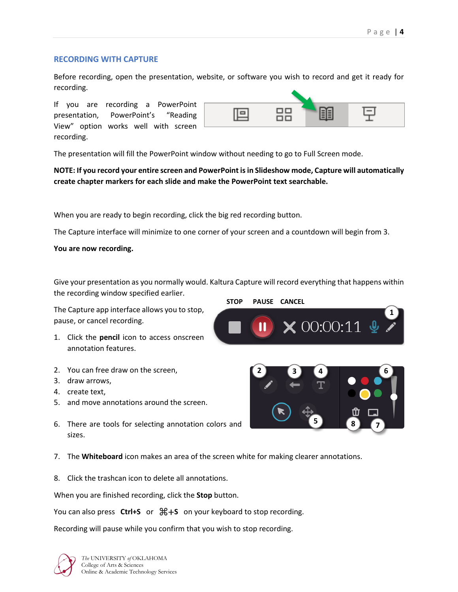## **RECORDING WITH CAPTURE**

Before recording, open the presentation, website, or software you wish to record and get it ready for recording.

If you are recording a PowerPoint presentation, PowerPoint's "Reading View" option works well with screen recording.



The presentation will fill the PowerPoint window without needing to go to Full Screen mode.

## **NOTE: If you record your entire screen and PowerPoint is in Slideshow mode, Capture will automatically create chapter markers for each slide and make the PowerPoint text searchable.**

When you are ready to begin recording, click the big red recording button.

The Capture interface will minimize to one corner of your screen and a countdown will begin from 3.

#### **You are now recording.**

Give your presentation as you normally would. Kaltura Capture will record everything that happens within the recording window specified earlier.

The Capture app interface allows you to stop, pause, or cancel recording.

- 1. Click the **pencil** icon to access onscreen annotation features.
- 2. You can free draw on the screen,
- 3. draw arrows,
- 4. create text,
- 5. and move annotations around the screen.
- 6. There are tools for selecting annotation colors and sizes.
- 7. The **Whiteboard** icon makes an area of the screen white for making clearer annotations.
- 8. Click the trashcan icon to delete all annotations.

When you are finished recording, click the **Stop** button.

You can also press **Ctrl+S** or ⌘+**S** on your keyboard to stop recording.

Recording will pause while you confirm that you wish to stop recording.